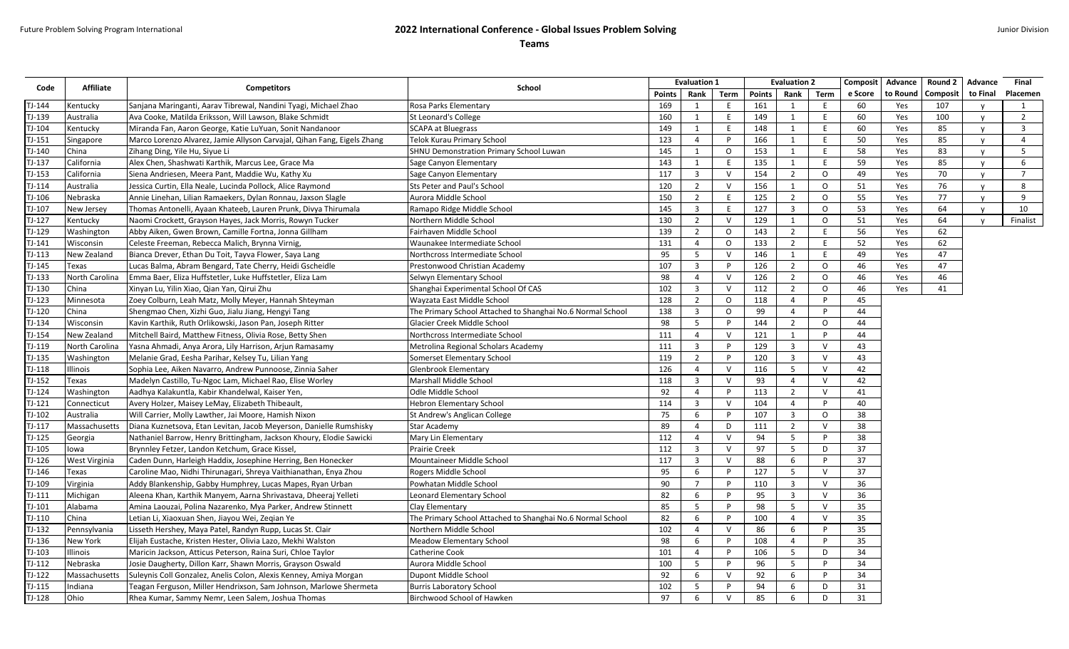## Future Problem Solving Program International **2022 International Conference - Global Issues Problem Solving**

**Teams**

| Term<br><b>Points</b><br>Rank<br>Term<br><b>Points</b><br>Rank<br>e Score<br>to Round<br><b>Composit</b><br>to Final<br>Placemen<br>$TJ-144$<br>Sanjana Maringanti, Aarav Tibrewal, Nandini Tyagi, Michael Zhao<br>Rosa Parks Elementary<br>169<br>E<br>161<br>60<br>Kentucky<br>$\mathbf{1}$<br>1<br>Ε<br>Yes<br>107<br>1<br>v<br>Ava Cooke, Matilda Eriksson, Will Lawson, Blake Schmidt<br>E<br>60<br>$\overline{2}$<br>TJ-139<br>St Leonard's College<br>160<br>1<br>E<br>149<br>1<br>Yes<br>100<br>Australia<br>$\mathsf{v}$<br>149<br>60<br>TJ-104<br>Miranda Fan, Aaron George, Katie LuYuan, Sonit Nandanoor<br><b>SCAPA at Bluegrass</b><br>E<br>148<br>1<br>E.<br>Yes<br>85<br>$\overline{\mathbf{3}}$<br>Kentucky<br>1<br>$\mathsf{v}$<br>123<br>E<br>50<br>85<br>$TJ-151$<br>Marco Lorenzo Alvarez, Jamie Allyson Carvajal, Qihan Fang, Eigels Zhang<br>Telok Kurau Primary School<br>$\overline{4}$<br>P<br>166<br>1<br>Yes<br>$\overline{4}$<br>Singapore<br>58<br>TJ-140<br>145<br>$\mathbf{1}$<br>E<br>83<br>China<br>SHNU Demonstration Primary School Luwan<br>1<br>$\circ$<br>153<br>Yes<br>5<br>Zihang Ding, Yile Hu, Siyue Li<br>$\mathbf{v}$<br>TJ-137<br>143<br>E<br>135<br>59<br>85<br>California<br>Alex Chen, Shashwati Karthik, Marcus Lee, Grace Ma<br>1<br>1<br>E.<br>Yes<br>6<br>Sage Canyon Elementary<br>$\mathsf{v}$<br>$\overline{3}$<br>2<br>$\circ$<br>49<br>70<br>$\overline{7}$<br>$TJ-153$<br>117<br>$\vee$<br>154<br>California<br>Siena Andriesen, Meera Pant, Maddie Wu, Kathy Xu<br>Sage Canyon Elementary<br>Yes<br>$\mathsf{v}$<br>TJ-114<br>$\overline{2}$<br>156<br>$\circ$<br>51<br>Australia<br>Jessica Curtin, Ella Neale, Lucinda Pollock, Alice Raymond<br>Sts Peter and Paul's School<br>120<br>$\vee$<br>1<br>Yes<br>76<br>8<br>$\mathbf{v}$<br>TJ-106<br>150<br>$\overline{2}$<br>$\overline{2}$<br>$\circ$<br>55<br>77<br>9<br>Nebraska<br>Annie Linehan, Lilian Ramaekers, Dylan Ronnau, Jaxson Slagle<br>Aurora Middle School<br>F<br>125<br>Yes<br>$\mathbf v$<br>$\overline{\mathbf{3}}$<br>E<br>127<br>$\overline{\mathbf{3}}$<br>$\circ$<br>53<br>TJ-107<br>Thomas Antonelli, Ayaan Khateeb, Lauren Prunk, Divya Thirumala<br>145<br>Yes<br>64<br>10<br>Ramapo Ridge Middle School<br>New Jersey<br>$\mathsf{v}$<br>$TJ-127$<br>$\overline{2}$<br>129<br>$\circ$<br>51<br>64<br>Finalist<br>Northern Middle School<br>130<br>$\vee$<br>1<br>Yes<br>Kentucky<br>Naomi Crockett, Grayson Hayes, Jack Morris, Rowyn Tucker<br>$\mathsf{v}$<br>139<br>56<br>62<br>TJ-129<br>Abby Aiken, Gwen Brown, Camille Fortna, Jonna Gillham<br>Fairhaven Middle School<br>$\overline{2}$<br>$\circ$<br>143<br>$\overline{2}$<br>E<br>Washington<br>Yes<br>TJ-141<br>131<br>133<br>2<br>E<br>52<br>62<br>Wisconsin<br>Celeste Freeman, Rebecca Malich, Brynna Virnig,<br>Waunakee Intermediate School<br>$\overline{4}$<br>$\circ$<br>Yes<br>5<br>$TJ-113$<br>95<br>146<br>$\mathbf{1}$<br>49<br>47<br>Bianca Drever, Ethan Du Toit, Tayva Flower, Saya Lang<br>Northcross Intermediate School<br>$\vee$<br>E<br>Yes<br>New Zealand<br>107<br>$\overline{3}$<br>$\overline{2}$<br>$\circ$<br>46<br>47<br>TJ-145<br>Lucas Balma, Abram Bengard, Tate Cherry, Heidi Gscheidle<br>$\mathsf{P}$<br>126<br>Texas<br>Prestonwood Christian Academy<br>Yes<br>98<br>$\overline{4}$<br>$\mathsf{V}$<br>2<br>$\circ$<br>46<br>46<br>$TJ-133$<br>Emma Baer, Eliza Huffstetler, Luke Huffstetler, Eliza Lam<br>Selwyn Elementary School<br>126<br>Yes<br>North Carolina<br>TJ-130<br>102<br>$\overline{3}$<br>$\circ$<br>China<br>Xinyan Lu, Yilin Xiao, Qian Yan, Qirui Zhu<br>Shanghai Experimental School Of CAS<br>$\vee$<br>112<br>$\overline{2}$<br>46<br>Yes<br>41<br>$TJ-123$<br>128<br>$\overline{2}$<br>118<br>$\overline{4}$<br>P<br>45<br>Minnesota<br>Zoey Colburn, Leah Matz, Molly Meyer, Hannah Shteyman<br>Wayzata East Middle School<br>$\circ$<br>TJ-120<br>138<br>$\overline{3}$<br>99<br>China<br>Shengmao Chen, Xizhi Guo, Jialu Jiang, Hengyi Tang<br>The Primary School Attached to Shanghai No.6 Normal School<br>$\circ$<br>$\overline{4}$<br>P<br>44<br>5<br>98<br>144<br>2<br>$\circ$<br>44<br>TJ-134<br>Kavin Karthik, Ruth Orlikowski, Jason Pan, Joseph Ritter<br>Glacier Creek Middle School<br>Wisconsin<br>P<br>TJ-154<br>111<br>121<br>P<br>44<br>Mitchell Baird, Matthew Fitness, Olivia Rose, Betty Shen<br>Northcross Intermediate School<br>$\overline{4}$<br>$\vee$<br>New Zealand<br>1<br>TJ-119<br>Yasna Ahmadi, Anya Arora, Lily Harrison, Arjun Ramasamy<br>Metrolina Regional Scholars Academy<br>$\overline{3}$<br>129<br>$\overline{\mathbf{3}}$<br>$\vee$<br>43<br>North Carolina<br>111<br>P<br>$TJ-135$<br>119<br>$\overline{2}$<br>120<br>$\overline{\mathbf{3}}$<br>$\vee$<br>43<br>Melanie Grad, Eesha Parihar, Kelsey Tu, Lilian Yang<br>Somerset Elementary School<br>Washington<br>TJ-118<br>Glenbrook Elementary<br>126<br>$\overline{4}$<br>116<br>5<br>$\vee$<br>42<br>Sophia Lee, Aiken Navarro, Andrew Punnoose, Zinnia Saher<br>$\vee$<br>Illinois<br>42<br>118<br>$\overline{3}$<br>$\mathsf{V}$<br>93<br>V<br>TJ-152<br>Madelyn Castillo, Tu-Ngoc Lam, Michael Rao, Elise Worley<br>Marshall Middle School<br>$\overline{4}$<br>Texas<br>TJ-124<br>92<br>113<br>$\overline{2}$<br>V<br>Washington<br>Aadhya Kalakuntla, Kabir Khandelwal, Kaiser Yen,<br>Odle Middle School<br>$\overline{4}$<br>P<br>41<br>$TJ-121$<br>114<br>$\overline{3}$<br>$\vee$<br>104<br>$\overline{4}$<br>P<br>40<br>Avery Holzer, Maisey LeMay, Elizabeth Thibeault,<br>Hebron Elementary School<br>Connecticut<br>75<br>$\circ$<br>38<br>TJ-102<br>Will Carrier, Molly Lawther, Jai Moore, Hamish Nixon<br>6<br>P<br>107<br>$\overline{\mathbf{3}}$<br>Australia<br>St Andrew's Anglican College<br>89<br>$\overline{2}$<br>38<br>TJ-117<br>$\overline{4}$<br>D<br>111<br>$\vee$<br>Diana Kuznetsova, Etan Levitan, Jacob Meyerson, Danielle Rumshisky<br>Massachusetts<br>Star Academy<br>TJ-125<br>112<br>94<br>38<br>Nathaniel Barrow, Henry Brittingham, Jackson Khoury, Elodie Sawicki<br>Mary Lin Elementary<br>$\overline{4}$<br>V<br>- 5<br>P<br>Georgia<br>TJ-105<br>97<br>37<br>112<br>$\overline{3}$<br>$\mathsf{V}$<br>5<br>D<br>Brynnley Fetzer, Landon Ketchum, Grace Kissel<br><b>Prairie Creek</b><br>lowa<br>$\overline{3}$<br>37<br>TJ-126<br>117<br>$\vee$<br>88<br>6<br>Caden Dunn, Harleigh Haddix, Josephine Herring, Ben Honecker<br>Mountaineer Middle School<br>P<br>West Virginia<br>TJ-146<br>95<br>6<br>127<br>5<br>$\vee$<br>37<br>Caroline Mao, Nidhi Thirunagari, Shreya Vaithianathan, Enya Zhou<br>Rogers Middle School<br>Texas<br>P<br>$\overline{3}$<br>36<br>TJ-109<br>90<br>$\overline{7}$<br>110<br>V<br>Virginia<br>Addy Blankenship, Gabby Humphrey, Lucas Mapes, Ryan Urban<br>Powhatan Middle School<br>P<br>$TJ-111$<br>Aleena Khan, Karthik Manyem, Aarna Shrivastava, Dheeraj Yelleti<br><b>Leonard Elementary School</b><br>82<br>6<br>95<br>$\overline{\mathbf{3}}$<br>$\vee$<br>36<br>Michigan<br>P<br>85<br>$\overline{5}$<br>98<br>5<br>$\vee$<br>35<br>TJ-101<br>p<br>Alabama<br>Amina Laouzai, Polina Nazarenko, Mya Parker, Andrew Stinnett<br>Clay Elementary<br>$TJ-110$<br>82<br>6<br>35<br>China<br>Letian Li, Xiaoxuan Shen, Jiayou Wei, Zegian Ye<br>The Primary School Attached to Shanghai No.6 Normal School<br>P<br>100<br>$\overline{4}$<br>V<br>102<br>$\overline{4}$<br>$\vee$<br>86<br>P<br>35<br>TJ-132<br>Lisseth Hershey, Maya Patel, Randyn Rupp, Lucas St. Clair<br>Northern Middle School<br>6<br>Pennsylvania<br>98<br>108<br>35<br>TJ-136<br>New York<br>Elijah Eustache, Kristen Hester, Olivia Lazo, Mekhi Walston<br>Meadow Elementary School<br>6<br>P<br>$\overline{4}$<br>P<br>34<br>TJ-103<br>101<br>$\overline{4}$<br>106<br>5<br>D.<br>Illinois<br>Maricin Jackson, Atticus Peterson, Raina Suri, Chloe Taylor<br>Catherine Cook<br>P<br>-5<br>96<br>34<br>TJ-112<br>Josie Daugherty, Dillon Karr, Shawn Morris, Grayson Oswald<br>Aurora Middle School<br>100<br>P<br>-5<br>P<br>Nebraska<br>TJ-122<br>Dupont Middle School<br>92<br>6<br>92<br>34<br>Suleynis Coll Gonzalez, Anelis Colon, Alexis Kenney, Amiya Morgan<br>$\vee$<br>6<br>P<br>Massachusetts<br>TJ-115<br>102<br>94<br>31<br>Indiana<br>Teagan Ferguson, Miller Hendrixson, Sam Johnson, Marlowe Shermeta<br><b>Burris Laboratory School</b><br>-5<br>P<br>6<br>D.<br>$\vee$<br>D. | Code   | Affiliate | <b>Competitors</b>                                | School                     |    | <b>Evaluation 1</b> | <b>Evaluation 2</b> |   | Composit | Advance | Round 2 | Advance | Final |
|--------------------------------------------------------------------------------------------------------------------------------------------------------------------------------------------------------------------------------------------------------------------------------------------------------------------------------------------------------------------------------------------------------------------------------------------------------------------------------------------------------------------------------------------------------------------------------------------------------------------------------------------------------------------------------------------------------------------------------------------------------------------------------------------------------------------------------------------------------------------------------------------------------------------------------------------------------------------------------------------------------------------------------------------------------------------------------------------------------------------------------------------------------------------------------------------------------------------------------------------------------------------------------------------------------------------------------------------------------------------------------------------------------------------------------------------------------------------------------------------------------------------------------------------------------------------------------------------------------------------------------------------------------------------------------------------------------------------------------------------------------------------------------------------------------------------------------------------------------------------------------------------------------------------------------------------------------------------------------------------------------------------------------------------------------------------------------------------------------------------------------------------------------------------------------------------------------------------------------------------------------------------------------------------------------------------------------------------------------------------------------------------------------------------------------------------------------------------------------------------------------------------------------------------------------------------------------------------------------------------------------------------------------------------------------------------------------------------------------------------------------------------------------------------------------------------------------------------------------------------------------------------------------------------------------------------------------------------------------------------------------------------------------------------------------------------------------------------------------------------------------------------------------------------------------------------------------------------------------------------------------------------------------------------------------------------------------------------------------------------------------------------------------------------------------------------------------------------------------------------------------------------------------------------------------------------------------------------------------------------------------------------------------------------------------------------------------------------------------------------------------------------------------------------------------------------------------------------------------------------------------------------------------------------------------------------------------------------------------------------------------------------------------------------------------------------------------------------------------------------------------------------------------------------------------------------------------------------------------------------------------------------------------------------------------------------------------------------------------------------------------------------------------------------------------------------------------------------------------------------------------------------------------------------------------------------------------------------------------------------------------------------------------------------------------------------------------------------------------------------------------------------------------------------------------------------------------------------------------------------------------------------------------------------------------------------------------------------------------------------------------------------------------------------------------------------------------------------------------------------------------------------------------------------------------------------------------------------------------------------------------------------------------------------------------------------------------------------------------------------------------------------------------------------------------------------------------------------------------------------------------------------------------------------------------------------------------------------------------------------------------------------------------------------------------------------------------------------------------------------------------------------------------------------------------------------------------------------------------------------------------------------------------------------------------------------------------------------------------------------------------------------------------------------------------------------------------------------------------------------------------------------------------------------------------------------------------------------------------------------------------------------------------------------------------------------------------------------------------------------------------------------------------------------------------------------------------------------------------------------------------------------------------------------------------------------------------------------------------------------------------------------------------------------------------------------------------------------------------------------------------------------------------------------------------------------------------------------------------------------------------------------------------------------------------------------------------------------------------------------------------------------------------------------------------------------------------------------------------------------------------------------------------------------------------------------------------------------------------------------------------------------------------------------------------------------------------------------------------------------------------------------------------------------------------------------------------------------------------------------------------------------------------------------------------------------------------------------------------------------------------------------------------------------------------------------------------------------------------------------------------------------------------------------------------------------------------------------------------------------------------------------------------------------------------------------------------------------------------------------------------------------------------------------------------------------------------------------------------------------------------------------------------------------------------------------------------------------------------------------------------------------------------------------------------------------------------------------------------------------------------------------------------------------------|--------|-----------|---------------------------------------------------|----------------------------|----|---------------------|---------------------|---|----------|---------|---------|---------|-------|
|                                                                                                                                                                                                                                                                                                                                                                                                                                                                                                                                                                                                                                                                                                                                                                                                                                                                                                                                                                                                                                                                                                                                                                                                                                                                                                                                                                                                                                                                                                                                                                                                                                                                                                                                                                                                                                                                                                                                                                                                                                                                                                                                                                                                                                                                                                                                                                                                                                                                                                                                                                                                                                                                                                                                                                                                                                                                                                                                                                                                                                                                                                                                                                                                                                                                                                                                                                                                                                                                                                                                                                                                                                                                                                                                                                                                                                                                                                                                                                                                                                                                                                                                                                                                                                                                                                                                                                                                                                                                                                                                                                                                                                                                                                                                                                                                                                                                                                                                                                                                                                                                                                                                                                                                                                                                                                                                                                                                                                                                                                                                                                                                                                                                                                                                                                                                                                                                                                                                                                                                                                                                                                                                                                                                                                                                                                                                                                                                                                                                                                                                                                                                                                                                                                                                                                                                                                                                                                                                                                                                                                                                                                                                                                                                                                                                                                                                                                                                                                                                                                                                                                                                                                                                                                                                                                                                                                                                                                                                                                                                                                                                                                                                                                                                                                                                                                                                                                                                                          |        |           |                                                   |                            |    |                     |                     |   |          |         |         |         |       |
|                                                                                                                                                                                                                                                                                                                                                                                                                                                                                                                                                                                                                                                                                                                                                                                                                                                                                                                                                                                                                                                                                                                                                                                                                                                                                                                                                                                                                                                                                                                                                                                                                                                                                                                                                                                                                                                                                                                                                                                                                                                                                                                                                                                                                                                                                                                                                                                                                                                                                                                                                                                                                                                                                                                                                                                                                                                                                                                                                                                                                                                                                                                                                                                                                                                                                                                                                                                                                                                                                                                                                                                                                                                                                                                                                                                                                                                                                                                                                                                                                                                                                                                                                                                                                                                                                                                                                                                                                                                                                                                                                                                                                                                                                                                                                                                                                                                                                                                                                                                                                                                                                                                                                                                                                                                                                                                                                                                                                                                                                                                                                                                                                                                                                                                                                                                                                                                                                                                                                                                                                                                                                                                                                                                                                                                                                                                                                                                                                                                                                                                                                                                                                                                                                                                                                                                                                                                                                                                                                                                                                                                                                                                                                                                                                                                                                                                                                                                                                                                                                                                                                                                                                                                                                                                                                                                                                                                                                                                                                                                                                                                                                                                                                                                                                                                                                                                                                                                                                          |        |           |                                                   |                            |    |                     |                     |   |          |         |         |         |       |
|                                                                                                                                                                                                                                                                                                                                                                                                                                                                                                                                                                                                                                                                                                                                                                                                                                                                                                                                                                                                                                                                                                                                                                                                                                                                                                                                                                                                                                                                                                                                                                                                                                                                                                                                                                                                                                                                                                                                                                                                                                                                                                                                                                                                                                                                                                                                                                                                                                                                                                                                                                                                                                                                                                                                                                                                                                                                                                                                                                                                                                                                                                                                                                                                                                                                                                                                                                                                                                                                                                                                                                                                                                                                                                                                                                                                                                                                                                                                                                                                                                                                                                                                                                                                                                                                                                                                                                                                                                                                                                                                                                                                                                                                                                                                                                                                                                                                                                                                                                                                                                                                                                                                                                                                                                                                                                                                                                                                                                                                                                                                                                                                                                                                                                                                                                                                                                                                                                                                                                                                                                                                                                                                                                                                                                                                                                                                                                                                                                                                                                                                                                                                                                                                                                                                                                                                                                                                                                                                                                                                                                                                                                                                                                                                                                                                                                                                                                                                                                                                                                                                                                                                                                                                                                                                                                                                                                                                                                                                                                                                                                                                                                                                                                                                                                                                                                                                                                                                                          |        |           |                                                   |                            |    |                     |                     |   |          |         |         |         |       |
|                                                                                                                                                                                                                                                                                                                                                                                                                                                                                                                                                                                                                                                                                                                                                                                                                                                                                                                                                                                                                                                                                                                                                                                                                                                                                                                                                                                                                                                                                                                                                                                                                                                                                                                                                                                                                                                                                                                                                                                                                                                                                                                                                                                                                                                                                                                                                                                                                                                                                                                                                                                                                                                                                                                                                                                                                                                                                                                                                                                                                                                                                                                                                                                                                                                                                                                                                                                                                                                                                                                                                                                                                                                                                                                                                                                                                                                                                                                                                                                                                                                                                                                                                                                                                                                                                                                                                                                                                                                                                                                                                                                                                                                                                                                                                                                                                                                                                                                                                                                                                                                                                                                                                                                                                                                                                                                                                                                                                                                                                                                                                                                                                                                                                                                                                                                                                                                                                                                                                                                                                                                                                                                                                                                                                                                                                                                                                                                                                                                                                                                                                                                                                                                                                                                                                                                                                                                                                                                                                                                                                                                                                                                                                                                                                                                                                                                                                                                                                                                                                                                                                                                                                                                                                                                                                                                                                                                                                                                                                                                                                                                                                                                                                                                                                                                                                                                                                                                                                          |        |           |                                                   |                            |    |                     |                     |   |          |         |         |         |       |
|                                                                                                                                                                                                                                                                                                                                                                                                                                                                                                                                                                                                                                                                                                                                                                                                                                                                                                                                                                                                                                                                                                                                                                                                                                                                                                                                                                                                                                                                                                                                                                                                                                                                                                                                                                                                                                                                                                                                                                                                                                                                                                                                                                                                                                                                                                                                                                                                                                                                                                                                                                                                                                                                                                                                                                                                                                                                                                                                                                                                                                                                                                                                                                                                                                                                                                                                                                                                                                                                                                                                                                                                                                                                                                                                                                                                                                                                                                                                                                                                                                                                                                                                                                                                                                                                                                                                                                                                                                                                                                                                                                                                                                                                                                                                                                                                                                                                                                                                                                                                                                                                                                                                                                                                                                                                                                                                                                                                                                                                                                                                                                                                                                                                                                                                                                                                                                                                                                                                                                                                                                                                                                                                                                                                                                                                                                                                                                                                                                                                                                                                                                                                                                                                                                                                                                                                                                                                                                                                                                                                                                                                                                                                                                                                                                                                                                                                                                                                                                                                                                                                                                                                                                                                                                                                                                                                                                                                                                                                                                                                                                                                                                                                                                                                                                                                                                                                                                                                                          |        |           |                                                   |                            |    |                     |                     |   |          |         |         |         |       |
|                                                                                                                                                                                                                                                                                                                                                                                                                                                                                                                                                                                                                                                                                                                                                                                                                                                                                                                                                                                                                                                                                                                                                                                                                                                                                                                                                                                                                                                                                                                                                                                                                                                                                                                                                                                                                                                                                                                                                                                                                                                                                                                                                                                                                                                                                                                                                                                                                                                                                                                                                                                                                                                                                                                                                                                                                                                                                                                                                                                                                                                                                                                                                                                                                                                                                                                                                                                                                                                                                                                                                                                                                                                                                                                                                                                                                                                                                                                                                                                                                                                                                                                                                                                                                                                                                                                                                                                                                                                                                                                                                                                                                                                                                                                                                                                                                                                                                                                                                                                                                                                                                                                                                                                                                                                                                                                                                                                                                                                                                                                                                                                                                                                                                                                                                                                                                                                                                                                                                                                                                                                                                                                                                                                                                                                                                                                                                                                                                                                                                                                                                                                                                                                                                                                                                                                                                                                                                                                                                                                                                                                                                                                                                                                                                                                                                                                                                                                                                                                                                                                                                                                                                                                                                                                                                                                                                                                                                                                                                                                                                                                                                                                                                                                                                                                                                                                                                                                                                          |        |           |                                                   |                            |    |                     |                     |   |          |         |         |         |       |
|                                                                                                                                                                                                                                                                                                                                                                                                                                                                                                                                                                                                                                                                                                                                                                                                                                                                                                                                                                                                                                                                                                                                                                                                                                                                                                                                                                                                                                                                                                                                                                                                                                                                                                                                                                                                                                                                                                                                                                                                                                                                                                                                                                                                                                                                                                                                                                                                                                                                                                                                                                                                                                                                                                                                                                                                                                                                                                                                                                                                                                                                                                                                                                                                                                                                                                                                                                                                                                                                                                                                                                                                                                                                                                                                                                                                                                                                                                                                                                                                                                                                                                                                                                                                                                                                                                                                                                                                                                                                                                                                                                                                                                                                                                                                                                                                                                                                                                                                                                                                                                                                                                                                                                                                                                                                                                                                                                                                                                                                                                                                                                                                                                                                                                                                                                                                                                                                                                                                                                                                                                                                                                                                                                                                                                                                                                                                                                                                                                                                                                                                                                                                                                                                                                                                                                                                                                                                                                                                                                                                                                                                                                                                                                                                                                                                                                                                                                                                                                                                                                                                                                                                                                                                                                                                                                                                                                                                                                                                                                                                                                                                                                                                                                                                                                                                                                                                                                                                                          |        |           |                                                   |                            |    |                     |                     |   |          |         |         |         |       |
|                                                                                                                                                                                                                                                                                                                                                                                                                                                                                                                                                                                                                                                                                                                                                                                                                                                                                                                                                                                                                                                                                                                                                                                                                                                                                                                                                                                                                                                                                                                                                                                                                                                                                                                                                                                                                                                                                                                                                                                                                                                                                                                                                                                                                                                                                                                                                                                                                                                                                                                                                                                                                                                                                                                                                                                                                                                                                                                                                                                                                                                                                                                                                                                                                                                                                                                                                                                                                                                                                                                                                                                                                                                                                                                                                                                                                                                                                                                                                                                                                                                                                                                                                                                                                                                                                                                                                                                                                                                                                                                                                                                                                                                                                                                                                                                                                                                                                                                                                                                                                                                                                                                                                                                                                                                                                                                                                                                                                                                                                                                                                                                                                                                                                                                                                                                                                                                                                                                                                                                                                                                                                                                                                                                                                                                                                                                                                                                                                                                                                                                                                                                                                                                                                                                                                                                                                                                                                                                                                                                                                                                                                                                                                                                                                                                                                                                                                                                                                                                                                                                                                                                                                                                                                                                                                                                                                                                                                                                                                                                                                                                                                                                                                                                                                                                                                                                                                                                                                          |        |           |                                                   |                            |    |                     |                     |   |          |         |         |         |       |
|                                                                                                                                                                                                                                                                                                                                                                                                                                                                                                                                                                                                                                                                                                                                                                                                                                                                                                                                                                                                                                                                                                                                                                                                                                                                                                                                                                                                                                                                                                                                                                                                                                                                                                                                                                                                                                                                                                                                                                                                                                                                                                                                                                                                                                                                                                                                                                                                                                                                                                                                                                                                                                                                                                                                                                                                                                                                                                                                                                                                                                                                                                                                                                                                                                                                                                                                                                                                                                                                                                                                                                                                                                                                                                                                                                                                                                                                                                                                                                                                                                                                                                                                                                                                                                                                                                                                                                                                                                                                                                                                                                                                                                                                                                                                                                                                                                                                                                                                                                                                                                                                                                                                                                                                                                                                                                                                                                                                                                                                                                                                                                                                                                                                                                                                                                                                                                                                                                                                                                                                                                                                                                                                                                                                                                                                                                                                                                                                                                                                                                                                                                                                                                                                                                                                                                                                                                                                                                                                                                                                                                                                                                                                                                                                                                                                                                                                                                                                                                                                                                                                                                                                                                                                                                                                                                                                                                                                                                                                                                                                                                                                                                                                                                                                                                                                                                                                                                                                                          |        |           |                                                   |                            |    |                     |                     |   |          |         |         |         |       |
|                                                                                                                                                                                                                                                                                                                                                                                                                                                                                                                                                                                                                                                                                                                                                                                                                                                                                                                                                                                                                                                                                                                                                                                                                                                                                                                                                                                                                                                                                                                                                                                                                                                                                                                                                                                                                                                                                                                                                                                                                                                                                                                                                                                                                                                                                                                                                                                                                                                                                                                                                                                                                                                                                                                                                                                                                                                                                                                                                                                                                                                                                                                                                                                                                                                                                                                                                                                                                                                                                                                                                                                                                                                                                                                                                                                                                                                                                                                                                                                                                                                                                                                                                                                                                                                                                                                                                                                                                                                                                                                                                                                                                                                                                                                                                                                                                                                                                                                                                                                                                                                                                                                                                                                                                                                                                                                                                                                                                                                                                                                                                                                                                                                                                                                                                                                                                                                                                                                                                                                                                                                                                                                                                                                                                                                                                                                                                                                                                                                                                                                                                                                                                                                                                                                                                                                                                                                                                                                                                                                                                                                                                                                                                                                                                                                                                                                                                                                                                                                                                                                                                                                                                                                                                                                                                                                                                                                                                                                                                                                                                                                                                                                                                                                                                                                                                                                                                                                                                          |        |           |                                                   |                            |    |                     |                     |   |          |         |         |         |       |
|                                                                                                                                                                                                                                                                                                                                                                                                                                                                                                                                                                                                                                                                                                                                                                                                                                                                                                                                                                                                                                                                                                                                                                                                                                                                                                                                                                                                                                                                                                                                                                                                                                                                                                                                                                                                                                                                                                                                                                                                                                                                                                                                                                                                                                                                                                                                                                                                                                                                                                                                                                                                                                                                                                                                                                                                                                                                                                                                                                                                                                                                                                                                                                                                                                                                                                                                                                                                                                                                                                                                                                                                                                                                                                                                                                                                                                                                                                                                                                                                                                                                                                                                                                                                                                                                                                                                                                                                                                                                                                                                                                                                                                                                                                                                                                                                                                                                                                                                                                                                                                                                                                                                                                                                                                                                                                                                                                                                                                                                                                                                                                                                                                                                                                                                                                                                                                                                                                                                                                                                                                                                                                                                                                                                                                                                                                                                                                                                                                                                                                                                                                                                                                                                                                                                                                                                                                                                                                                                                                                                                                                                                                                                                                                                                                                                                                                                                                                                                                                                                                                                                                                                                                                                                                                                                                                                                                                                                                                                                                                                                                                                                                                                                                                                                                                                                                                                                                                                                          |        |           |                                                   |                            |    |                     |                     |   |          |         |         |         |       |
|                                                                                                                                                                                                                                                                                                                                                                                                                                                                                                                                                                                                                                                                                                                                                                                                                                                                                                                                                                                                                                                                                                                                                                                                                                                                                                                                                                                                                                                                                                                                                                                                                                                                                                                                                                                                                                                                                                                                                                                                                                                                                                                                                                                                                                                                                                                                                                                                                                                                                                                                                                                                                                                                                                                                                                                                                                                                                                                                                                                                                                                                                                                                                                                                                                                                                                                                                                                                                                                                                                                                                                                                                                                                                                                                                                                                                                                                                                                                                                                                                                                                                                                                                                                                                                                                                                                                                                                                                                                                                                                                                                                                                                                                                                                                                                                                                                                                                                                                                                                                                                                                                                                                                                                                                                                                                                                                                                                                                                                                                                                                                                                                                                                                                                                                                                                                                                                                                                                                                                                                                                                                                                                                                                                                                                                                                                                                                                                                                                                                                                                                                                                                                                                                                                                                                                                                                                                                                                                                                                                                                                                                                                                                                                                                                                                                                                                                                                                                                                                                                                                                                                                                                                                                                                                                                                                                                                                                                                                                                                                                                                                                                                                                                                                                                                                                                                                                                                                                                          |        |           |                                                   |                            |    |                     |                     |   |          |         |         |         |       |
|                                                                                                                                                                                                                                                                                                                                                                                                                                                                                                                                                                                                                                                                                                                                                                                                                                                                                                                                                                                                                                                                                                                                                                                                                                                                                                                                                                                                                                                                                                                                                                                                                                                                                                                                                                                                                                                                                                                                                                                                                                                                                                                                                                                                                                                                                                                                                                                                                                                                                                                                                                                                                                                                                                                                                                                                                                                                                                                                                                                                                                                                                                                                                                                                                                                                                                                                                                                                                                                                                                                                                                                                                                                                                                                                                                                                                                                                                                                                                                                                                                                                                                                                                                                                                                                                                                                                                                                                                                                                                                                                                                                                                                                                                                                                                                                                                                                                                                                                                                                                                                                                                                                                                                                                                                                                                                                                                                                                                                                                                                                                                                                                                                                                                                                                                                                                                                                                                                                                                                                                                                                                                                                                                                                                                                                                                                                                                                                                                                                                                                                                                                                                                                                                                                                                                                                                                                                                                                                                                                                                                                                                                                                                                                                                                                                                                                                                                                                                                                                                                                                                                                                                                                                                                                                                                                                                                                                                                                                                                                                                                                                                                                                                                                                                                                                                                                                                                                                                                          |        |           |                                                   |                            |    |                     |                     |   |          |         |         |         |       |
|                                                                                                                                                                                                                                                                                                                                                                                                                                                                                                                                                                                                                                                                                                                                                                                                                                                                                                                                                                                                                                                                                                                                                                                                                                                                                                                                                                                                                                                                                                                                                                                                                                                                                                                                                                                                                                                                                                                                                                                                                                                                                                                                                                                                                                                                                                                                                                                                                                                                                                                                                                                                                                                                                                                                                                                                                                                                                                                                                                                                                                                                                                                                                                                                                                                                                                                                                                                                                                                                                                                                                                                                                                                                                                                                                                                                                                                                                                                                                                                                                                                                                                                                                                                                                                                                                                                                                                                                                                                                                                                                                                                                                                                                                                                                                                                                                                                                                                                                                                                                                                                                                                                                                                                                                                                                                                                                                                                                                                                                                                                                                                                                                                                                                                                                                                                                                                                                                                                                                                                                                                                                                                                                                                                                                                                                                                                                                                                                                                                                                                                                                                                                                                                                                                                                                                                                                                                                                                                                                                                                                                                                                                                                                                                                                                                                                                                                                                                                                                                                                                                                                                                                                                                                                                                                                                                                                                                                                                                                                                                                                                                                                                                                                                                                                                                                                                                                                                                                                          |        |           |                                                   |                            |    |                     |                     |   |          |         |         |         |       |
|                                                                                                                                                                                                                                                                                                                                                                                                                                                                                                                                                                                                                                                                                                                                                                                                                                                                                                                                                                                                                                                                                                                                                                                                                                                                                                                                                                                                                                                                                                                                                                                                                                                                                                                                                                                                                                                                                                                                                                                                                                                                                                                                                                                                                                                                                                                                                                                                                                                                                                                                                                                                                                                                                                                                                                                                                                                                                                                                                                                                                                                                                                                                                                                                                                                                                                                                                                                                                                                                                                                                                                                                                                                                                                                                                                                                                                                                                                                                                                                                                                                                                                                                                                                                                                                                                                                                                                                                                                                                                                                                                                                                                                                                                                                                                                                                                                                                                                                                                                                                                                                                                                                                                                                                                                                                                                                                                                                                                                                                                                                                                                                                                                                                                                                                                                                                                                                                                                                                                                                                                                                                                                                                                                                                                                                                                                                                                                                                                                                                                                                                                                                                                                                                                                                                                                                                                                                                                                                                                                                                                                                                                                                                                                                                                                                                                                                                                                                                                                                                                                                                                                                                                                                                                                                                                                                                                                                                                                                                                                                                                                                                                                                                                                                                                                                                                                                                                                                                                          |        |           |                                                   |                            |    |                     |                     |   |          |         |         |         |       |
|                                                                                                                                                                                                                                                                                                                                                                                                                                                                                                                                                                                                                                                                                                                                                                                                                                                                                                                                                                                                                                                                                                                                                                                                                                                                                                                                                                                                                                                                                                                                                                                                                                                                                                                                                                                                                                                                                                                                                                                                                                                                                                                                                                                                                                                                                                                                                                                                                                                                                                                                                                                                                                                                                                                                                                                                                                                                                                                                                                                                                                                                                                                                                                                                                                                                                                                                                                                                                                                                                                                                                                                                                                                                                                                                                                                                                                                                                                                                                                                                                                                                                                                                                                                                                                                                                                                                                                                                                                                                                                                                                                                                                                                                                                                                                                                                                                                                                                                                                                                                                                                                                                                                                                                                                                                                                                                                                                                                                                                                                                                                                                                                                                                                                                                                                                                                                                                                                                                                                                                                                                                                                                                                                                                                                                                                                                                                                                                                                                                                                                                                                                                                                                                                                                                                                                                                                                                                                                                                                                                                                                                                                                                                                                                                                                                                                                                                                                                                                                                                                                                                                                                                                                                                                                                                                                                                                                                                                                                                                                                                                                                                                                                                                                                                                                                                                                                                                                                                                          |        |           |                                                   |                            |    |                     |                     |   |          |         |         |         |       |
|                                                                                                                                                                                                                                                                                                                                                                                                                                                                                                                                                                                                                                                                                                                                                                                                                                                                                                                                                                                                                                                                                                                                                                                                                                                                                                                                                                                                                                                                                                                                                                                                                                                                                                                                                                                                                                                                                                                                                                                                                                                                                                                                                                                                                                                                                                                                                                                                                                                                                                                                                                                                                                                                                                                                                                                                                                                                                                                                                                                                                                                                                                                                                                                                                                                                                                                                                                                                                                                                                                                                                                                                                                                                                                                                                                                                                                                                                                                                                                                                                                                                                                                                                                                                                                                                                                                                                                                                                                                                                                                                                                                                                                                                                                                                                                                                                                                                                                                                                                                                                                                                                                                                                                                                                                                                                                                                                                                                                                                                                                                                                                                                                                                                                                                                                                                                                                                                                                                                                                                                                                                                                                                                                                                                                                                                                                                                                                                                                                                                                                                                                                                                                                                                                                                                                                                                                                                                                                                                                                                                                                                                                                                                                                                                                                                                                                                                                                                                                                                                                                                                                                                                                                                                                                                                                                                                                                                                                                                                                                                                                                                                                                                                                                                                                                                                                                                                                                                                                          |        |           |                                                   |                            |    |                     |                     |   |          |         |         |         |       |
|                                                                                                                                                                                                                                                                                                                                                                                                                                                                                                                                                                                                                                                                                                                                                                                                                                                                                                                                                                                                                                                                                                                                                                                                                                                                                                                                                                                                                                                                                                                                                                                                                                                                                                                                                                                                                                                                                                                                                                                                                                                                                                                                                                                                                                                                                                                                                                                                                                                                                                                                                                                                                                                                                                                                                                                                                                                                                                                                                                                                                                                                                                                                                                                                                                                                                                                                                                                                                                                                                                                                                                                                                                                                                                                                                                                                                                                                                                                                                                                                                                                                                                                                                                                                                                                                                                                                                                                                                                                                                                                                                                                                                                                                                                                                                                                                                                                                                                                                                                                                                                                                                                                                                                                                                                                                                                                                                                                                                                                                                                                                                                                                                                                                                                                                                                                                                                                                                                                                                                                                                                                                                                                                                                                                                                                                                                                                                                                                                                                                                                                                                                                                                                                                                                                                                                                                                                                                                                                                                                                                                                                                                                                                                                                                                                                                                                                                                                                                                                                                                                                                                                                                                                                                                                                                                                                                                                                                                                                                                                                                                                                                                                                                                                                                                                                                                                                                                                                                                          |        |           |                                                   |                            |    |                     |                     |   |          |         |         |         |       |
|                                                                                                                                                                                                                                                                                                                                                                                                                                                                                                                                                                                                                                                                                                                                                                                                                                                                                                                                                                                                                                                                                                                                                                                                                                                                                                                                                                                                                                                                                                                                                                                                                                                                                                                                                                                                                                                                                                                                                                                                                                                                                                                                                                                                                                                                                                                                                                                                                                                                                                                                                                                                                                                                                                                                                                                                                                                                                                                                                                                                                                                                                                                                                                                                                                                                                                                                                                                                                                                                                                                                                                                                                                                                                                                                                                                                                                                                                                                                                                                                                                                                                                                                                                                                                                                                                                                                                                                                                                                                                                                                                                                                                                                                                                                                                                                                                                                                                                                                                                                                                                                                                                                                                                                                                                                                                                                                                                                                                                                                                                                                                                                                                                                                                                                                                                                                                                                                                                                                                                                                                                                                                                                                                                                                                                                                                                                                                                                                                                                                                                                                                                                                                                                                                                                                                                                                                                                                                                                                                                                                                                                                                                                                                                                                                                                                                                                                                                                                                                                                                                                                                                                                                                                                                                                                                                                                                                                                                                                                                                                                                                                                                                                                                                                                                                                                                                                                                                                                                          |        |           |                                                   |                            |    |                     |                     |   |          |         |         |         |       |
|                                                                                                                                                                                                                                                                                                                                                                                                                                                                                                                                                                                                                                                                                                                                                                                                                                                                                                                                                                                                                                                                                                                                                                                                                                                                                                                                                                                                                                                                                                                                                                                                                                                                                                                                                                                                                                                                                                                                                                                                                                                                                                                                                                                                                                                                                                                                                                                                                                                                                                                                                                                                                                                                                                                                                                                                                                                                                                                                                                                                                                                                                                                                                                                                                                                                                                                                                                                                                                                                                                                                                                                                                                                                                                                                                                                                                                                                                                                                                                                                                                                                                                                                                                                                                                                                                                                                                                                                                                                                                                                                                                                                                                                                                                                                                                                                                                                                                                                                                                                                                                                                                                                                                                                                                                                                                                                                                                                                                                                                                                                                                                                                                                                                                                                                                                                                                                                                                                                                                                                                                                                                                                                                                                                                                                                                                                                                                                                                                                                                                                                                                                                                                                                                                                                                                                                                                                                                                                                                                                                                                                                                                                                                                                                                                                                                                                                                                                                                                                                                                                                                                                                                                                                                                                                                                                                                                                                                                                                                                                                                                                                                                                                                                                                                                                                                                                                                                                                                                          |        |           |                                                   |                            |    |                     |                     |   |          |         |         |         |       |
|                                                                                                                                                                                                                                                                                                                                                                                                                                                                                                                                                                                                                                                                                                                                                                                                                                                                                                                                                                                                                                                                                                                                                                                                                                                                                                                                                                                                                                                                                                                                                                                                                                                                                                                                                                                                                                                                                                                                                                                                                                                                                                                                                                                                                                                                                                                                                                                                                                                                                                                                                                                                                                                                                                                                                                                                                                                                                                                                                                                                                                                                                                                                                                                                                                                                                                                                                                                                                                                                                                                                                                                                                                                                                                                                                                                                                                                                                                                                                                                                                                                                                                                                                                                                                                                                                                                                                                                                                                                                                                                                                                                                                                                                                                                                                                                                                                                                                                                                                                                                                                                                                                                                                                                                                                                                                                                                                                                                                                                                                                                                                                                                                                                                                                                                                                                                                                                                                                                                                                                                                                                                                                                                                                                                                                                                                                                                                                                                                                                                                                                                                                                                                                                                                                                                                                                                                                                                                                                                                                                                                                                                                                                                                                                                                                                                                                                                                                                                                                                                                                                                                                                                                                                                                                                                                                                                                                                                                                                                                                                                                                                                                                                                                                                                                                                                                                                                                                                                                          |        |           |                                                   |                            |    |                     |                     |   |          |         |         |         |       |
|                                                                                                                                                                                                                                                                                                                                                                                                                                                                                                                                                                                                                                                                                                                                                                                                                                                                                                                                                                                                                                                                                                                                                                                                                                                                                                                                                                                                                                                                                                                                                                                                                                                                                                                                                                                                                                                                                                                                                                                                                                                                                                                                                                                                                                                                                                                                                                                                                                                                                                                                                                                                                                                                                                                                                                                                                                                                                                                                                                                                                                                                                                                                                                                                                                                                                                                                                                                                                                                                                                                                                                                                                                                                                                                                                                                                                                                                                                                                                                                                                                                                                                                                                                                                                                                                                                                                                                                                                                                                                                                                                                                                                                                                                                                                                                                                                                                                                                                                                                                                                                                                                                                                                                                                                                                                                                                                                                                                                                                                                                                                                                                                                                                                                                                                                                                                                                                                                                                                                                                                                                                                                                                                                                                                                                                                                                                                                                                                                                                                                                                                                                                                                                                                                                                                                                                                                                                                                                                                                                                                                                                                                                                                                                                                                                                                                                                                                                                                                                                                                                                                                                                                                                                                                                                                                                                                                                                                                                                                                                                                                                                                                                                                                                                                                                                                                                                                                                                                                          |        |           |                                                   |                            |    |                     |                     |   |          |         |         |         |       |
|                                                                                                                                                                                                                                                                                                                                                                                                                                                                                                                                                                                                                                                                                                                                                                                                                                                                                                                                                                                                                                                                                                                                                                                                                                                                                                                                                                                                                                                                                                                                                                                                                                                                                                                                                                                                                                                                                                                                                                                                                                                                                                                                                                                                                                                                                                                                                                                                                                                                                                                                                                                                                                                                                                                                                                                                                                                                                                                                                                                                                                                                                                                                                                                                                                                                                                                                                                                                                                                                                                                                                                                                                                                                                                                                                                                                                                                                                                                                                                                                                                                                                                                                                                                                                                                                                                                                                                                                                                                                                                                                                                                                                                                                                                                                                                                                                                                                                                                                                                                                                                                                                                                                                                                                                                                                                                                                                                                                                                                                                                                                                                                                                                                                                                                                                                                                                                                                                                                                                                                                                                                                                                                                                                                                                                                                                                                                                                                                                                                                                                                                                                                                                                                                                                                                                                                                                                                                                                                                                                                                                                                                                                                                                                                                                                                                                                                                                                                                                                                                                                                                                                                                                                                                                                                                                                                                                                                                                                                                                                                                                                                                                                                                                                                                                                                                                                                                                                                                                          |        |           |                                                   |                            |    |                     |                     |   |          |         |         |         |       |
|                                                                                                                                                                                                                                                                                                                                                                                                                                                                                                                                                                                                                                                                                                                                                                                                                                                                                                                                                                                                                                                                                                                                                                                                                                                                                                                                                                                                                                                                                                                                                                                                                                                                                                                                                                                                                                                                                                                                                                                                                                                                                                                                                                                                                                                                                                                                                                                                                                                                                                                                                                                                                                                                                                                                                                                                                                                                                                                                                                                                                                                                                                                                                                                                                                                                                                                                                                                                                                                                                                                                                                                                                                                                                                                                                                                                                                                                                                                                                                                                                                                                                                                                                                                                                                                                                                                                                                                                                                                                                                                                                                                                                                                                                                                                                                                                                                                                                                                                                                                                                                                                                                                                                                                                                                                                                                                                                                                                                                                                                                                                                                                                                                                                                                                                                                                                                                                                                                                                                                                                                                                                                                                                                                                                                                                                                                                                                                                                                                                                                                                                                                                                                                                                                                                                                                                                                                                                                                                                                                                                                                                                                                                                                                                                                                                                                                                                                                                                                                                                                                                                                                                                                                                                                                                                                                                                                                                                                                                                                                                                                                                                                                                                                                                                                                                                                                                                                                                                                          |        |           |                                                   |                            |    |                     |                     |   |          |         |         |         |       |
|                                                                                                                                                                                                                                                                                                                                                                                                                                                                                                                                                                                                                                                                                                                                                                                                                                                                                                                                                                                                                                                                                                                                                                                                                                                                                                                                                                                                                                                                                                                                                                                                                                                                                                                                                                                                                                                                                                                                                                                                                                                                                                                                                                                                                                                                                                                                                                                                                                                                                                                                                                                                                                                                                                                                                                                                                                                                                                                                                                                                                                                                                                                                                                                                                                                                                                                                                                                                                                                                                                                                                                                                                                                                                                                                                                                                                                                                                                                                                                                                                                                                                                                                                                                                                                                                                                                                                                                                                                                                                                                                                                                                                                                                                                                                                                                                                                                                                                                                                                                                                                                                                                                                                                                                                                                                                                                                                                                                                                                                                                                                                                                                                                                                                                                                                                                                                                                                                                                                                                                                                                                                                                                                                                                                                                                                                                                                                                                                                                                                                                                                                                                                                                                                                                                                                                                                                                                                                                                                                                                                                                                                                                                                                                                                                                                                                                                                                                                                                                                                                                                                                                                                                                                                                                                                                                                                                                                                                                                                                                                                                                                                                                                                                                                                                                                                                                                                                                                                                          |        |           |                                                   |                            |    |                     |                     |   |          |         |         |         |       |
|                                                                                                                                                                                                                                                                                                                                                                                                                                                                                                                                                                                                                                                                                                                                                                                                                                                                                                                                                                                                                                                                                                                                                                                                                                                                                                                                                                                                                                                                                                                                                                                                                                                                                                                                                                                                                                                                                                                                                                                                                                                                                                                                                                                                                                                                                                                                                                                                                                                                                                                                                                                                                                                                                                                                                                                                                                                                                                                                                                                                                                                                                                                                                                                                                                                                                                                                                                                                                                                                                                                                                                                                                                                                                                                                                                                                                                                                                                                                                                                                                                                                                                                                                                                                                                                                                                                                                                                                                                                                                                                                                                                                                                                                                                                                                                                                                                                                                                                                                                                                                                                                                                                                                                                                                                                                                                                                                                                                                                                                                                                                                                                                                                                                                                                                                                                                                                                                                                                                                                                                                                                                                                                                                                                                                                                                                                                                                                                                                                                                                                                                                                                                                                                                                                                                                                                                                                                                                                                                                                                                                                                                                                                                                                                                                                                                                                                                                                                                                                                                                                                                                                                                                                                                                                                                                                                                                                                                                                                                                                                                                                                                                                                                                                                                                                                                                                                                                                                                                          |        |           |                                                   |                            |    |                     |                     |   |          |         |         |         |       |
|                                                                                                                                                                                                                                                                                                                                                                                                                                                                                                                                                                                                                                                                                                                                                                                                                                                                                                                                                                                                                                                                                                                                                                                                                                                                                                                                                                                                                                                                                                                                                                                                                                                                                                                                                                                                                                                                                                                                                                                                                                                                                                                                                                                                                                                                                                                                                                                                                                                                                                                                                                                                                                                                                                                                                                                                                                                                                                                                                                                                                                                                                                                                                                                                                                                                                                                                                                                                                                                                                                                                                                                                                                                                                                                                                                                                                                                                                                                                                                                                                                                                                                                                                                                                                                                                                                                                                                                                                                                                                                                                                                                                                                                                                                                                                                                                                                                                                                                                                                                                                                                                                                                                                                                                                                                                                                                                                                                                                                                                                                                                                                                                                                                                                                                                                                                                                                                                                                                                                                                                                                                                                                                                                                                                                                                                                                                                                                                                                                                                                                                                                                                                                                                                                                                                                                                                                                                                                                                                                                                                                                                                                                                                                                                                                                                                                                                                                                                                                                                                                                                                                                                                                                                                                                                                                                                                                                                                                                                                                                                                                                                                                                                                                                                                                                                                                                                                                                                                                          |        |           |                                                   |                            |    |                     |                     |   |          |         |         |         |       |
|                                                                                                                                                                                                                                                                                                                                                                                                                                                                                                                                                                                                                                                                                                                                                                                                                                                                                                                                                                                                                                                                                                                                                                                                                                                                                                                                                                                                                                                                                                                                                                                                                                                                                                                                                                                                                                                                                                                                                                                                                                                                                                                                                                                                                                                                                                                                                                                                                                                                                                                                                                                                                                                                                                                                                                                                                                                                                                                                                                                                                                                                                                                                                                                                                                                                                                                                                                                                                                                                                                                                                                                                                                                                                                                                                                                                                                                                                                                                                                                                                                                                                                                                                                                                                                                                                                                                                                                                                                                                                                                                                                                                                                                                                                                                                                                                                                                                                                                                                                                                                                                                                                                                                                                                                                                                                                                                                                                                                                                                                                                                                                                                                                                                                                                                                                                                                                                                                                                                                                                                                                                                                                                                                                                                                                                                                                                                                                                                                                                                                                                                                                                                                                                                                                                                                                                                                                                                                                                                                                                                                                                                                                                                                                                                                                                                                                                                                                                                                                                                                                                                                                                                                                                                                                                                                                                                                                                                                                                                                                                                                                                                                                                                                                                                                                                                                                                                                                                                                          |        |           |                                                   |                            |    |                     |                     |   |          |         |         |         |       |
|                                                                                                                                                                                                                                                                                                                                                                                                                                                                                                                                                                                                                                                                                                                                                                                                                                                                                                                                                                                                                                                                                                                                                                                                                                                                                                                                                                                                                                                                                                                                                                                                                                                                                                                                                                                                                                                                                                                                                                                                                                                                                                                                                                                                                                                                                                                                                                                                                                                                                                                                                                                                                                                                                                                                                                                                                                                                                                                                                                                                                                                                                                                                                                                                                                                                                                                                                                                                                                                                                                                                                                                                                                                                                                                                                                                                                                                                                                                                                                                                                                                                                                                                                                                                                                                                                                                                                                                                                                                                                                                                                                                                                                                                                                                                                                                                                                                                                                                                                                                                                                                                                                                                                                                                                                                                                                                                                                                                                                                                                                                                                                                                                                                                                                                                                                                                                                                                                                                                                                                                                                                                                                                                                                                                                                                                                                                                                                                                                                                                                                                                                                                                                                                                                                                                                                                                                                                                                                                                                                                                                                                                                                                                                                                                                                                                                                                                                                                                                                                                                                                                                                                                                                                                                                                                                                                                                                                                                                                                                                                                                                                                                                                                                                                                                                                                                                                                                                                                                          |        |           |                                                   |                            |    |                     |                     |   |          |         |         |         |       |
|                                                                                                                                                                                                                                                                                                                                                                                                                                                                                                                                                                                                                                                                                                                                                                                                                                                                                                                                                                                                                                                                                                                                                                                                                                                                                                                                                                                                                                                                                                                                                                                                                                                                                                                                                                                                                                                                                                                                                                                                                                                                                                                                                                                                                                                                                                                                                                                                                                                                                                                                                                                                                                                                                                                                                                                                                                                                                                                                                                                                                                                                                                                                                                                                                                                                                                                                                                                                                                                                                                                                                                                                                                                                                                                                                                                                                                                                                                                                                                                                                                                                                                                                                                                                                                                                                                                                                                                                                                                                                                                                                                                                                                                                                                                                                                                                                                                                                                                                                                                                                                                                                                                                                                                                                                                                                                                                                                                                                                                                                                                                                                                                                                                                                                                                                                                                                                                                                                                                                                                                                                                                                                                                                                                                                                                                                                                                                                                                                                                                                                                                                                                                                                                                                                                                                                                                                                                                                                                                                                                                                                                                                                                                                                                                                                                                                                                                                                                                                                                                                                                                                                                                                                                                                                                                                                                                                                                                                                                                                                                                                                                                                                                                                                                                                                                                                                                                                                                                                          |        |           |                                                   |                            |    |                     |                     |   |          |         |         |         |       |
|                                                                                                                                                                                                                                                                                                                                                                                                                                                                                                                                                                                                                                                                                                                                                                                                                                                                                                                                                                                                                                                                                                                                                                                                                                                                                                                                                                                                                                                                                                                                                                                                                                                                                                                                                                                                                                                                                                                                                                                                                                                                                                                                                                                                                                                                                                                                                                                                                                                                                                                                                                                                                                                                                                                                                                                                                                                                                                                                                                                                                                                                                                                                                                                                                                                                                                                                                                                                                                                                                                                                                                                                                                                                                                                                                                                                                                                                                                                                                                                                                                                                                                                                                                                                                                                                                                                                                                                                                                                                                                                                                                                                                                                                                                                                                                                                                                                                                                                                                                                                                                                                                                                                                                                                                                                                                                                                                                                                                                                                                                                                                                                                                                                                                                                                                                                                                                                                                                                                                                                                                                                                                                                                                                                                                                                                                                                                                                                                                                                                                                                                                                                                                                                                                                                                                                                                                                                                                                                                                                                                                                                                                                                                                                                                                                                                                                                                                                                                                                                                                                                                                                                                                                                                                                                                                                                                                                                                                                                                                                                                                                                                                                                                                                                                                                                                                                                                                                                                                          |        |           |                                                   |                            |    |                     |                     |   |          |         |         |         |       |
|                                                                                                                                                                                                                                                                                                                                                                                                                                                                                                                                                                                                                                                                                                                                                                                                                                                                                                                                                                                                                                                                                                                                                                                                                                                                                                                                                                                                                                                                                                                                                                                                                                                                                                                                                                                                                                                                                                                                                                                                                                                                                                                                                                                                                                                                                                                                                                                                                                                                                                                                                                                                                                                                                                                                                                                                                                                                                                                                                                                                                                                                                                                                                                                                                                                                                                                                                                                                                                                                                                                                                                                                                                                                                                                                                                                                                                                                                                                                                                                                                                                                                                                                                                                                                                                                                                                                                                                                                                                                                                                                                                                                                                                                                                                                                                                                                                                                                                                                                                                                                                                                                                                                                                                                                                                                                                                                                                                                                                                                                                                                                                                                                                                                                                                                                                                                                                                                                                                                                                                                                                                                                                                                                                                                                                                                                                                                                                                                                                                                                                                                                                                                                                                                                                                                                                                                                                                                                                                                                                                                                                                                                                                                                                                                                                                                                                                                                                                                                                                                                                                                                                                                                                                                                                                                                                                                                                                                                                                                                                                                                                                                                                                                                                                                                                                                                                                                                                                                                          |        |           |                                                   |                            |    |                     |                     |   |          |         |         |         |       |
|                                                                                                                                                                                                                                                                                                                                                                                                                                                                                                                                                                                                                                                                                                                                                                                                                                                                                                                                                                                                                                                                                                                                                                                                                                                                                                                                                                                                                                                                                                                                                                                                                                                                                                                                                                                                                                                                                                                                                                                                                                                                                                                                                                                                                                                                                                                                                                                                                                                                                                                                                                                                                                                                                                                                                                                                                                                                                                                                                                                                                                                                                                                                                                                                                                                                                                                                                                                                                                                                                                                                                                                                                                                                                                                                                                                                                                                                                                                                                                                                                                                                                                                                                                                                                                                                                                                                                                                                                                                                                                                                                                                                                                                                                                                                                                                                                                                                                                                                                                                                                                                                                                                                                                                                                                                                                                                                                                                                                                                                                                                                                                                                                                                                                                                                                                                                                                                                                                                                                                                                                                                                                                                                                                                                                                                                                                                                                                                                                                                                                                                                                                                                                                                                                                                                                                                                                                                                                                                                                                                                                                                                                                                                                                                                                                                                                                                                                                                                                                                                                                                                                                                                                                                                                                                                                                                                                                                                                                                                                                                                                                                                                                                                                                                                                                                                                                                                                                                                                          |        |           |                                                   |                            |    |                     |                     |   |          |         |         |         |       |
|                                                                                                                                                                                                                                                                                                                                                                                                                                                                                                                                                                                                                                                                                                                                                                                                                                                                                                                                                                                                                                                                                                                                                                                                                                                                                                                                                                                                                                                                                                                                                                                                                                                                                                                                                                                                                                                                                                                                                                                                                                                                                                                                                                                                                                                                                                                                                                                                                                                                                                                                                                                                                                                                                                                                                                                                                                                                                                                                                                                                                                                                                                                                                                                                                                                                                                                                                                                                                                                                                                                                                                                                                                                                                                                                                                                                                                                                                                                                                                                                                                                                                                                                                                                                                                                                                                                                                                                                                                                                                                                                                                                                                                                                                                                                                                                                                                                                                                                                                                                                                                                                                                                                                                                                                                                                                                                                                                                                                                                                                                                                                                                                                                                                                                                                                                                                                                                                                                                                                                                                                                                                                                                                                                                                                                                                                                                                                                                                                                                                                                                                                                                                                                                                                                                                                                                                                                                                                                                                                                                                                                                                                                                                                                                                                                                                                                                                                                                                                                                                                                                                                                                                                                                                                                                                                                                                                                                                                                                                                                                                                                                                                                                                                                                                                                                                                                                                                                                                                          |        |           |                                                   |                            |    |                     |                     |   |          |         |         |         |       |
|                                                                                                                                                                                                                                                                                                                                                                                                                                                                                                                                                                                                                                                                                                                                                                                                                                                                                                                                                                                                                                                                                                                                                                                                                                                                                                                                                                                                                                                                                                                                                                                                                                                                                                                                                                                                                                                                                                                                                                                                                                                                                                                                                                                                                                                                                                                                                                                                                                                                                                                                                                                                                                                                                                                                                                                                                                                                                                                                                                                                                                                                                                                                                                                                                                                                                                                                                                                                                                                                                                                                                                                                                                                                                                                                                                                                                                                                                                                                                                                                                                                                                                                                                                                                                                                                                                                                                                                                                                                                                                                                                                                                                                                                                                                                                                                                                                                                                                                                                                                                                                                                                                                                                                                                                                                                                                                                                                                                                                                                                                                                                                                                                                                                                                                                                                                                                                                                                                                                                                                                                                                                                                                                                                                                                                                                                                                                                                                                                                                                                                                                                                                                                                                                                                                                                                                                                                                                                                                                                                                                                                                                                                                                                                                                                                                                                                                                                                                                                                                                                                                                                                                                                                                                                                                                                                                                                                                                                                                                                                                                                                                                                                                                                                                                                                                                                                                                                                                                                          |        |           |                                                   |                            |    |                     |                     |   |          |         |         |         |       |
|                                                                                                                                                                                                                                                                                                                                                                                                                                                                                                                                                                                                                                                                                                                                                                                                                                                                                                                                                                                                                                                                                                                                                                                                                                                                                                                                                                                                                                                                                                                                                                                                                                                                                                                                                                                                                                                                                                                                                                                                                                                                                                                                                                                                                                                                                                                                                                                                                                                                                                                                                                                                                                                                                                                                                                                                                                                                                                                                                                                                                                                                                                                                                                                                                                                                                                                                                                                                                                                                                                                                                                                                                                                                                                                                                                                                                                                                                                                                                                                                                                                                                                                                                                                                                                                                                                                                                                                                                                                                                                                                                                                                                                                                                                                                                                                                                                                                                                                                                                                                                                                                                                                                                                                                                                                                                                                                                                                                                                                                                                                                                                                                                                                                                                                                                                                                                                                                                                                                                                                                                                                                                                                                                                                                                                                                                                                                                                                                                                                                                                                                                                                                                                                                                                                                                                                                                                                                                                                                                                                                                                                                                                                                                                                                                                                                                                                                                                                                                                                                                                                                                                                                                                                                                                                                                                                                                                                                                                                                                                                                                                                                                                                                                                                                                                                                                                                                                                                                                          |        |           |                                                   |                            |    |                     |                     |   |          |         |         |         |       |
|                                                                                                                                                                                                                                                                                                                                                                                                                                                                                                                                                                                                                                                                                                                                                                                                                                                                                                                                                                                                                                                                                                                                                                                                                                                                                                                                                                                                                                                                                                                                                                                                                                                                                                                                                                                                                                                                                                                                                                                                                                                                                                                                                                                                                                                                                                                                                                                                                                                                                                                                                                                                                                                                                                                                                                                                                                                                                                                                                                                                                                                                                                                                                                                                                                                                                                                                                                                                                                                                                                                                                                                                                                                                                                                                                                                                                                                                                                                                                                                                                                                                                                                                                                                                                                                                                                                                                                                                                                                                                                                                                                                                                                                                                                                                                                                                                                                                                                                                                                                                                                                                                                                                                                                                                                                                                                                                                                                                                                                                                                                                                                                                                                                                                                                                                                                                                                                                                                                                                                                                                                                                                                                                                                                                                                                                                                                                                                                                                                                                                                                                                                                                                                                                                                                                                                                                                                                                                                                                                                                                                                                                                                                                                                                                                                                                                                                                                                                                                                                                                                                                                                                                                                                                                                                                                                                                                                                                                                                                                                                                                                                                                                                                                                                                                                                                                                                                                                                                                          |        |           |                                                   |                            |    |                     |                     |   |          |         |         |         |       |
|                                                                                                                                                                                                                                                                                                                                                                                                                                                                                                                                                                                                                                                                                                                                                                                                                                                                                                                                                                                                                                                                                                                                                                                                                                                                                                                                                                                                                                                                                                                                                                                                                                                                                                                                                                                                                                                                                                                                                                                                                                                                                                                                                                                                                                                                                                                                                                                                                                                                                                                                                                                                                                                                                                                                                                                                                                                                                                                                                                                                                                                                                                                                                                                                                                                                                                                                                                                                                                                                                                                                                                                                                                                                                                                                                                                                                                                                                                                                                                                                                                                                                                                                                                                                                                                                                                                                                                                                                                                                                                                                                                                                                                                                                                                                                                                                                                                                                                                                                                                                                                                                                                                                                                                                                                                                                                                                                                                                                                                                                                                                                                                                                                                                                                                                                                                                                                                                                                                                                                                                                                                                                                                                                                                                                                                                                                                                                                                                                                                                                                                                                                                                                                                                                                                                                                                                                                                                                                                                                                                                                                                                                                                                                                                                                                                                                                                                                                                                                                                                                                                                                                                                                                                                                                                                                                                                                                                                                                                                                                                                                                                                                                                                                                                                                                                                                                                                                                                                                          |        |           |                                                   |                            |    |                     |                     |   |          |         |         |         |       |
|                                                                                                                                                                                                                                                                                                                                                                                                                                                                                                                                                                                                                                                                                                                                                                                                                                                                                                                                                                                                                                                                                                                                                                                                                                                                                                                                                                                                                                                                                                                                                                                                                                                                                                                                                                                                                                                                                                                                                                                                                                                                                                                                                                                                                                                                                                                                                                                                                                                                                                                                                                                                                                                                                                                                                                                                                                                                                                                                                                                                                                                                                                                                                                                                                                                                                                                                                                                                                                                                                                                                                                                                                                                                                                                                                                                                                                                                                                                                                                                                                                                                                                                                                                                                                                                                                                                                                                                                                                                                                                                                                                                                                                                                                                                                                                                                                                                                                                                                                                                                                                                                                                                                                                                                                                                                                                                                                                                                                                                                                                                                                                                                                                                                                                                                                                                                                                                                                                                                                                                                                                                                                                                                                                                                                                                                                                                                                                                                                                                                                                                                                                                                                                                                                                                                                                                                                                                                                                                                                                                                                                                                                                                                                                                                                                                                                                                                                                                                                                                                                                                                                                                                                                                                                                                                                                                                                                                                                                                                                                                                                                                                                                                                                                                                                                                                                                                                                                                                                          |        |           |                                                   |                            |    |                     |                     |   |          |         |         |         |       |
|                                                                                                                                                                                                                                                                                                                                                                                                                                                                                                                                                                                                                                                                                                                                                                                                                                                                                                                                                                                                                                                                                                                                                                                                                                                                                                                                                                                                                                                                                                                                                                                                                                                                                                                                                                                                                                                                                                                                                                                                                                                                                                                                                                                                                                                                                                                                                                                                                                                                                                                                                                                                                                                                                                                                                                                                                                                                                                                                                                                                                                                                                                                                                                                                                                                                                                                                                                                                                                                                                                                                                                                                                                                                                                                                                                                                                                                                                                                                                                                                                                                                                                                                                                                                                                                                                                                                                                                                                                                                                                                                                                                                                                                                                                                                                                                                                                                                                                                                                                                                                                                                                                                                                                                                                                                                                                                                                                                                                                                                                                                                                                                                                                                                                                                                                                                                                                                                                                                                                                                                                                                                                                                                                                                                                                                                                                                                                                                                                                                                                                                                                                                                                                                                                                                                                                                                                                                                                                                                                                                                                                                                                                                                                                                                                                                                                                                                                                                                                                                                                                                                                                                                                                                                                                                                                                                                                                                                                                                                                                                                                                                                                                                                                                                                                                                                                                                                                                                                                          |        |           |                                                   |                            |    |                     |                     |   |          |         |         |         |       |
|                                                                                                                                                                                                                                                                                                                                                                                                                                                                                                                                                                                                                                                                                                                                                                                                                                                                                                                                                                                                                                                                                                                                                                                                                                                                                                                                                                                                                                                                                                                                                                                                                                                                                                                                                                                                                                                                                                                                                                                                                                                                                                                                                                                                                                                                                                                                                                                                                                                                                                                                                                                                                                                                                                                                                                                                                                                                                                                                                                                                                                                                                                                                                                                                                                                                                                                                                                                                                                                                                                                                                                                                                                                                                                                                                                                                                                                                                                                                                                                                                                                                                                                                                                                                                                                                                                                                                                                                                                                                                                                                                                                                                                                                                                                                                                                                                                                                                                                                                                                                                                                                                                                                                                                                                                                                                                                                                                                                                                                                                                                                                                                                                                                                                                                                                                                                                                                                                                                                                                                                                                                                                                                                                                                                                                                                                                                                                                                                                                                                                                                                                                                                                                                                                                                                                                                                                                                                                                                                                                                                                                                                                                                                                                                                                                                                                                                                                                                                                                                                                                                                                                                                                                                                                                                                                                                                                                                                                                                                                                                                                                                                                                                                                                                                                                                                                                                                                                                                                          |        |           |                                                   |                            |    |                     |                     |   |          |         |         |         |       |
|                                                                                                                                                                                                                                                                                                                                                                                                                                                                                                                                                                                                                                                                                                                                                                                                                                                                                                                                                                                                                                                                                                                                                                                                                                                                                                                                                                                                                                                                                                                                                                                                                                                                                                                                                                                                                                                                                                                                                                                                                                                                                                                                                                                                                                                                                                                                                                                                                                                                                                                                                                                                                                                                                                                                                                                                                                                                                                                                                                                                                                                                                                                                                                                                                                                                                                                                                                                                                                                                                                                                                                                                                                                                                                                                                                                                                                                                                                                                                                                                                                                                                                                                                                                                                                                                                                                                                                                                                                                                                                                                                                                                                                                                                                                                                                                                                                                                                                                                                                                                                                                                                                                                                                                                                                                                                                                                                                                                                                                                                                                                                                                                                                                                                                                                                                                                                                                                                                                                                                                                                                                                                                                                                                                                                                                                                                                                                                                                                                                                                                                                                                                                                                                                                                                                                                                                                                                                                                                                                                                                                                                                                                                                                                                                                                                                                                                                                                                                                                                                                                                                                                                                                                                                                                                                                                                                                                                                                                                                                                                                                                                                                                                                                                                                                                                                                                                                                                                                                          |        |           |                                                   |                            |    |                     |                     |   |          |         |         |         |       |
|                                                                                                                                                                                                                                                                                                                                                                                                                                                                                                                                                                                                                                                                                                                                                                                                                                                                                                                                                                                                                                                                                                                                                                                                                                                                                                                                                                                                                                                                                                                                                                                                                                                                                                                                                                                                                                                                                                                                                                                                                                                                                                                                                                                                                                                                                                                                                                                                                                                                                                                                                                                                                                                                                                                                                                                                                                                                                                                                                                                                                                                                                                                                                                                                                                                                                                                                                                                                                                                                                                                                                                                                                                                                                                                                                                                                                                                                                                                                                                                                                                                                                                                                                                                                                                                                                                                                                                                                                                                                                                                                                                                                                                                                                                                                                                                                                                                                                                                                                                                                                                                                                                                                                                                                                                                                                                                                                                                                                                                                                                                                                                                                                                                                                                                                                                                                                                                                                                                                                                                                                                                                                                                                                                                                                                                                                                                                                                                                                                                                                                                                                                                                                                                                                                                                                                                                                                                                                                                                                                                                                                                                                                                                                                                                                                                                                                                                                                                                                                                                                                                                                                                                                                                                                                                                                                                                                                                                                                                                                                                                                                                                                                                                                                                                                                                                                                                                                                                                                          |        |           |                                                   |                            |    |                     |                     |   |          |         |         |         |       |
|                                                                                                                                                                                                                                                                                                                                                                                                                                                                                                                                                                                                                                                                                                                                                                                                                                                                                                                                                                                                                                                                                                                                                                                                                                                                                                                                                                                                                                                                                                                                                                                                                                                                                                                                                                                                                                                                                                                                                                                                                                                                                                                                                                                                                                                                                                                                                                                                                                                                                                                                                                                                                                                                                                                                                                                                                                                                                                                                                                                                                                                                                                                                                                                                                                                                                                                                                                                                                                                                                                                                                                                                                                                                                                                                                                                                                                                                                                                                                                                                                                                                                                                                                                                                                                                                                                                                                                                                                                                                                                                                                                                                                                                                                                                                                                                                                                                                                                                                                                                                                                                                                                                                                                                                                                                                                                                                                                                                                                                                                                                                                                                                                                                                                                                                                                                                                                                                                                                                                                                                                                                                                                                                                                                                                                                                                                                                                                                                                                                                                                                                                                                                                                                                                                                                                                                                                                                                                                                                                                                                                                                                                                                                                                                                                                                                                                                                                                                                                                                                                                                                                                                                                                                                                                                                                                                                                                                                                                                                                                                                                                                                                                                                                                                                                                                                                                                                                                                                                          |        |           |                                                   |                            |    |                     |                     |   |          |         |         |         |       |
|                                                                                                                                                                                                                                                                                                                                                                                                                                                                                                                                                                                                                                                                                                                                                                                                                                                                                                                                                                                                                                                                                                                                                                                                                                                                                                                                                                                                                                                                                                                                                                                                                                                                                                                                                                                                                                                                                                                                                                                                                                                                                                                                                                                                                                                                                                                                                                                                                                                                                                                                                                                                                                                                                                                                                                                                                                                                                                                                                                                                                                                                                                                                                                                                                                                                                                                                                                                                                                                                                                                                                                                                                                                                                                                                                                                                                                                                                                                                                                                                                                                                                                                                                                                                                                                                                                                                                                                                                                                                                                                                                                                                                                                                                                                                                                                                                                                                                                                                                                                                                                                                                                                                                                                                                                                                                                                                                                                                                                                                                                                                                                                                                                                                                                                                                                                                                                                                                                                                                                                                                                                                                                                                                                                                                                                                                                                                                                                                                                                                                                                                                                                                                                                                                                                                                                                                                                                                                                                                                                                                                                                                                                                                                                                                                                                                                                                                                                                                                                                                                                                                                                                                                                                                                                                                                                                                                                                                                                                                                                                                                                                                                                                                                                                                                                                                                                                                                                                                                          |        |           |                                                   |                            |    |                     |                     |   |          |         |         |         |       |
|                                                                                                                                                                                                                                                                                                                                                                                                                                                                                                                                                                                                                                                                                                                                                                                                                                                                                                                                                                                                                                                                                                                                                                                                                                                                                                                                                                                                                                                                                                                                                                                                                                                                                                                                                                                                                                                                                                                                                                                                                                                                                                                                                                                                                                                                                                                                                                                                                                                                                                                                                                                                                                                                                                                                                                                                                                                                                                                                                                                                                                                                                                                                                                                                                                                                                                                                                                                                                                                                                                                                                                                                                                                                                                                                                                                                                                                                                                                                                                                                                                                                                                                                                                                                                                                                                                                                                                                                                                                                                                                                                                                                                                                                                                                                                                                                                                                                                                                                                                                                                                                                                                                                                                                                                                                                                                                                                                                                                                                                                                                                                                                                                                                                                                                                                                                                                                                                                                                                                                                                                                                                                                                                                                                                                                                                                                                                                                                                                                                                                                                                                                                                                                                                                                                                                                                                                                                                                                                                                                                                                                                                                                                                                                                                                                                                                                                                                                                                                                                                                                                                                                                                                                                                                                                                                                                                                                                                                                                                                                                                                                                                                                                                                                                                                                                                                                                                                                                                                          | TJ-128 | Ohio      | Rhea Kumar, Sammy Nemr, Leen Salem, Joshua Thomas | Birchwood School of Hawken | 97 | 6                   | 85                  | 6 | 31       |         |         |         |       |